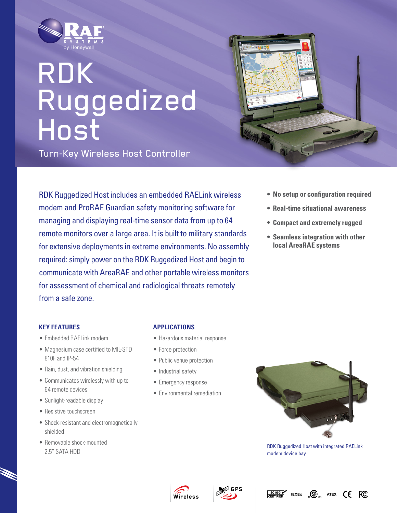

# RDK Ruggedized Host

Turn-Key Wireless Host Controller





- **• No setup or configuration required**
- **• Real-time situational awareness**
- **• Compact and extremely rugged**
- **• Seamless integration with other local AreaRAE systems**

### **Key Features**

- Embedded RAELink modem
- Magnesium case certified to MIL-STD 810F and IP-54
- Rain, dust, and vibration shielding
- Communicates wirelessly with up to 64 remote devices
- Sunlight-readable display
- Resistive touchscreen
- Shock-resistant and electromagnetically shielded
- Removable shock-mounted 2.5" SATA HDD

### **Applications**

- Hazardous material response
- Force protection
- Public venue protection
- Industrial safety
- Emergency response
- • Environmental remediation



RDK Ruggedized Host with integrated RAELink modem device bay